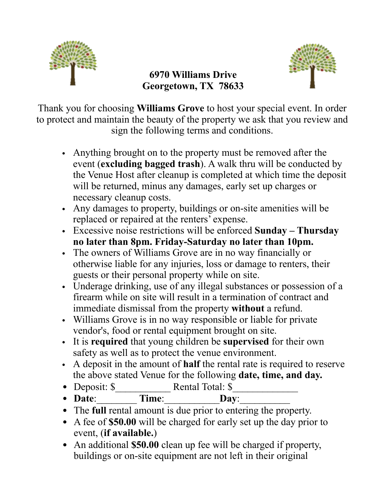

## **6970 Williams Drive Georgetown, TX 78633**



Thank you for choosing **Williams Grove** to host your special event. In order to protect and maintain the beauty of the property we ask that you review and sign the following terms and conditions.

- Anything brought on to the property must be removed after the event (**excluding bagged trash**). A walk thru will be conducted by the Venue Host after cleanup is completed at which time the deposit will be returned, minus any damages, early set up charges or necessary cleanup costs.
- Any damages to property, buildings or on-site amenities will be replaced or repaired at the renters' expense.
- Excessive noise restrictions will be enforced **Sunday – Thursday no later than 8pm. Friday-Saturday no later than 10pm.**
- The owners of Williams Grove are in no way financially or otherwise liable for any injuries, loss or damage to renters, their guests or their personal property while on site.
- Underage drinking, use of any illegal substances or possession of a firearm while on site will result in a termination of contract and immediate dismissal from the property **without** a refund.
- Williams Grove is in no way responsible or liable for private vendor's, food or rental equipment brought on site.
- It is **required** that young children be **supervised** for their own safety as well as to protect the venue environment.
- A deposit in the amount of **half** the rental rate is required to reserve the above stated Venue for the following **date, time, and day.**
- Deposit: \$ Rental Total: \$
- Date: Time: Day:

• The **full** rental amount is due prior to entering the property.

- A fee of **\$50.00** will be charged for early set up the day prior to event, (**if available.**)
- An additional **\$50.00** clean up fee will be charged if property, buildings or on-site equipment are not left in their original